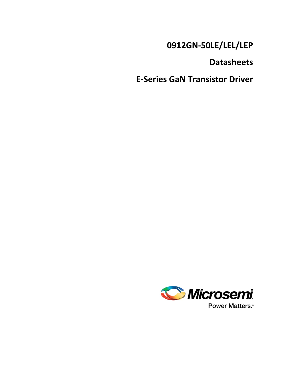**0912GN-50LE/LEL/LEP**

**Datasheets**

**E-Series GaN Transistor Driver**

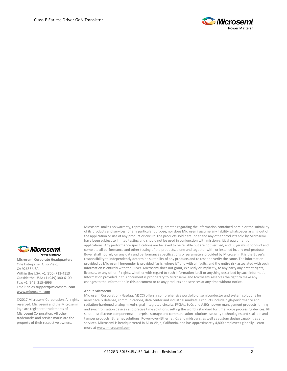



**Microsemi Corporate Headquarters** One Enterprise, Aliso Viejo, CA 92656 USA Within the USA: +1 (800) 713-4113 Outside the USA: +1 (949) 380-6100 Fax: +1 (949) 215-4996 Email: **[sales.support@microsemi.com](mailto:sales.support@microsemi.com) [www.microsemi.com](http://www.microsemi.com/)**

©2017 Microsemi Corporation. All rights reserved. Microsemi and the Microsemi logo are registered trademarks of Microsemi Corporation. All other trademarks and service marks are the property of their respective owners.

Microsemi makes no warranty, representation, or guarantee regarding the information contained herein or the suitability of its products and services for any particular purpose, nor does Microsemi assume any liability whatsoever arising out of the application or use of any product or circuit. The products sold hereunder and any other products sold by Microsemi have been subject to limited testing and should not be used in conjunction with mission-critical equipment or applications. Any performance specifications are believed to be reliable but are not verified, and Buyer must conduct and complete all performance and other testing of the products, alone and together with, or installed in, any end-products. Buyer shall not rely on any data and performance specifications or parameters provided by Microsemi. It is the Buyer's responsibility to independently determine suitability of any products and to test and verify the same. The information provided by Microsemi hereunder is provided "as is, where is" and with all faults, and the entire risk associated with such information is entirely with the Buyer. Microsemi does not grant, explicitly or implicitly, to any party any patent rights, licenses, or any other IP rights, whether with regard to such information itself or anything described by such information. Information provided in this document is proprietary to Microsemi, and Microsemi reserves the right to make any changes to the information in this document or to any products and services at any time without notice.

#### **About Microsemi**

Microsemi Corporation (Nasdaq: MSCC) offers a comprehensive portfolio of semiconductor and system solutions for aerospace & defense, communications, data center and industrial markets. Products include high-performance and radiation-hardened analog mixed-signal integrated circuits, FPGAs, SoCs and ASICs; power management products; timing and synchronization devices and precise time solutions, setting the world's standard for time; voice processing devices; RF solutions; discrete components; enterprise storage and communication solutions; security technologies and scalable antitamper products; Ethernet solutions; Power-over-Ethernet ICs and midspans; as well as custom design capabilities and services. Microsemi is headquartered in Aliso Viejo, California, and has approximately 4,800 employees globally. Learn more at **[www.microsemi.com.](http://www.microsemi.com/)**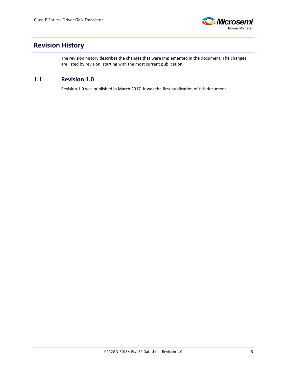

# <span id="page-2-0"></span>**Revision History**

The revision history describes the changes that were implemented in the document. The changes are listed by revision, starting with the most current publication.

## <span id="page-2-1"></span>**1.1 Revision 1.0**

Revision 1.0 was published in March 2017. It was the first publication of this document.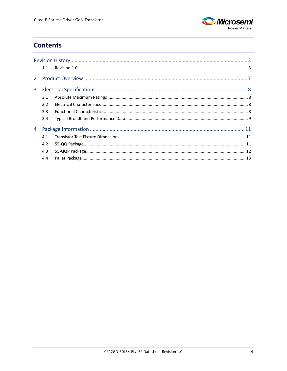

# **Contents**

|   | 1.1 |  |
|---|-----|--|
|   |     |  |
| 3 |     |  |
|   | 3.1 |  |
|   | 3.2 |  |
|   | 3.3 |  |
|   | 3.4 |  |
| 4 |     |  |
|   | 4.1 |  |
|   | 4.2 |  |
|   | 4.3 |  |
|   | 4.4 |  |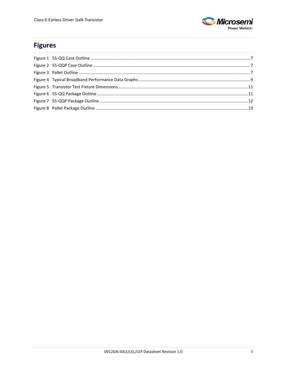

# **Figures**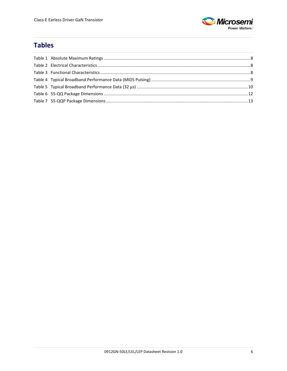

# **Tables**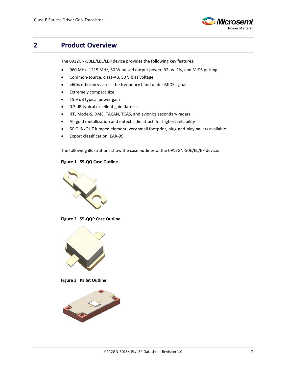

## <span id="page-6-0"></span>**2 Product Overview**

The 0912GN-50LE/LEL/LEP device provides the following key features:

- 960 MHz–1215 MHz, 50 W pulsed output power, 32 µs–2%, and MIDS pulsing
- Common-source, class-AB, 50 V bias voltage
- >60% efficiency across the frequency band under MIDS signal
- Extremely compact size
- 15.9 dB typical power gain
- 0.3 dB typical excellent gain flatness
- IFF, Mode-S, DME, TACAN, TCAS, and avionics secondary radars
- All-gold metallization and eutectic die attach for highest reliability
- 50 Ω IN/OUT lumped element, very small footprint, plug-and-play pallets available
- Export classification: EAR-99

The following illustrations show the case outlines of the 0912GN-50E/EL/EP device.

#### <span id="page-6-1"></span>**Figure 1 55-QQ Case Outline**



**Figure 2 55-QQP Case Outline**

<span id="page-6-2"></span>

**Figure 3 Pallet Outline**

<span id="page-6-3"></span>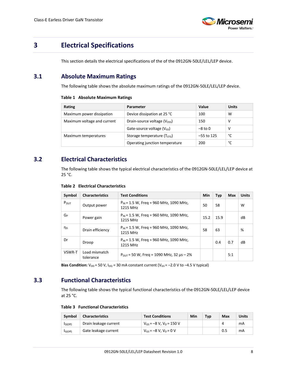

## <span id="page-7-0"></span>**3 Electrical Specifications**

This section details the electrical specifications of the of the 0912GN-50LE/LEL/LEP device.

### <span id="page-7-4"></span><span id="page-7-1"></span>**3.1 Absolute Maximum Ratings**

The following table shows the absolute maximum ratings of the 0912GN-50LE/LEL/LEP device.

#### **Table 1 Absolute Maximum Ratings**

| Rating                      | Parameter                               | Value        | <b>Units</b> |
|-----------------------------|-----------------------------------------|--------------|--------------|
| Maximum power dissipation   | Device dissipation at 25 °C             | 100          | w            |
| Maximum voltage and current | Drain-source voltage $(V_{DSS})$        | 150          | v            |
|                             | Gate-source voltage $(V_{GS})$          | $-8$ to $0$  | v            |
| Maximum temperatures        | Storage temperature (T <sub>STG</sub> ) | $-55$ to 125 | °C           |
|                             | Operating junction temperature          | 200          | °C           |

### <span id="page-7-5"></span><span id="page-7-2"></span>**3.2 Electrical Characteristics**

The following table shows the typical electrical characteristics of the 0912GN-50LE/LEL/LEP device at 25 °C.

| Symbol           | <b>Characteristics</b>     | <b>Test Conditions</b>                                  | Min  | <b>Typ</b> | Max | <b>Units</b> |
|------------------|----------------------------|---------------------------------------------------------|------|------------|-----|--------------|
| $P_{\text{OUT}}$ | Output power               | $P_{IN}$ = 1.5 W, Freg = 960 MHz, 1090 MHz,<br>1215 MHz | 50   | 58         |     | w            |
| G <sub>P</sub>   | Power gain                 | $P_{IN}$ = 1.5 W, Freq = 960 MHz, 1090 MHz,<br>1215 MHz | 15.2 | 15.9       |     | dB           |
| η <sub>D</sub>   | Drain efficiency           | $P_{IN}$ = 1.5 W, Freq = 960 MHz, 1090 MHz,<br>1215 MHz | 58   | 63         |     | %            |
| Dr               | Droop                      | $P_{IN}$ = 1.5 W, Freq = 960 MHz, 1090 MHz,<br>1215 MHz |      | 0.4        | 0.7 | dB           |
| VSWR-T           | Load mismatch<br>tolerance | $P_{OUT}$ = 50 W, Freg = 1090 MHz, 32 $\mu$ s – 2%      |      |            | 5:1 |              |

**Table 2 Electrical Characteristics**

**Bias Condition:**  $V_{DD}$  = 50 V,  $I_{DQ}$  = 30 mA constant current ( $V_{GS}$  = -2.0 V to -4.5 V typical)

### <span id="page-7-6"></span><span id="page-7-3"></span>**3.3 Functional Characteristics**

The following table shows the typical functional characteristics of the 0912GN-50LE/LEL/LEP device at 25 °C.

#### **Table 3 Functional Characteristics**

| Symbol               | <b>Characteristics</b> | <b>Test Conditions</b>          | Min | Typ | Max | Units |
|----------------------|------------------------|---------------------------------|-----|-----|-----|-------|
| I <sub>D(Off)</sub>  | Drain leakage current  | $V_{GS} = -8 V$ , $V_D = 150 V$ |     |     |     | mA    |
| I <sub>G</sub> (Off) | Gate leakage current   | $V_{GS} = -8 V$ . $V_D = 0 V$   |     |     | 0.5 | mA    |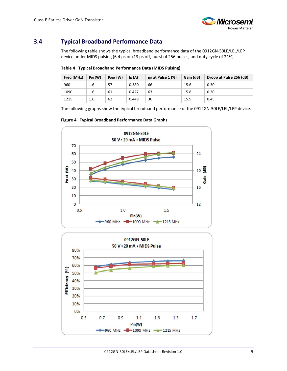

## <span id="page-8-2"></span><span id="page-8-0"></span>**3.4 Typical Broadband Performance Data**

The following table shows the typical broadband performance data of the 0912GN-50LE/LEL/LEP device under MIDS pulsing (6.4 μs on/13 μs off, burst of 256 pulses, and duty cycle of 21%).

**Table 4 Typical Broadband Performance Data (MIDS Pulsing)**

| Freg (MHz) | $P_{IN}$ (W) | $P_{OUT}$ (W) | $I_D(A)$ | $n_D$ at Pulse 1 (%) | Gain (dB) | Droop at Pulse 256 (dB) |
|------------|--------------|---------------|----------|----------------------|-----------|-------------------------|
| 960        | 1.6          | 57            | 0.380    | 66                   | 15.6      | 0.30                    |
| 1090       | 1.6          | 61            | 0.427    | 63                   | 15.8      | 0.30                    |
| 1215       | 1.6          | 62            | 0.449    | 30                   | 15.9      | 0.45                    |

The following graphs show the typical broadband performance of the 0912GN-50LE/LEL/LEP device.

<span id="page-8-1"></span>

**Figure 4 Typical Broadband Performance Data Graphs**

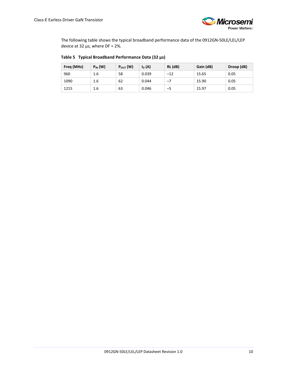

The following table shows the typical broadband performance data of the 0912GN-50LE/LEL/LEP device at 32  $\mu$ s, where DF = 2%.

<span id="page-9-0"></span>

| Freq (MHz) | $P_{IN}$ (W) | $P_{OUT}$ (W) | $I_D(A)$ | RL (dB) | Gain (dB) | Droop (dB) |
|------------|--------------|---------------|----------|---------|-----------|------------|
| 960        | 1.6          | 58            | 0.039    | $-12$   | 15.65     | 0.05       |
| 1090       | 1.6          | 62            | 0.044    | $-7$    | 15.90     | 0.05       |
| 1215       | 1.6          | 63            | 0.046    | -5      | 15.97     | 0.05       |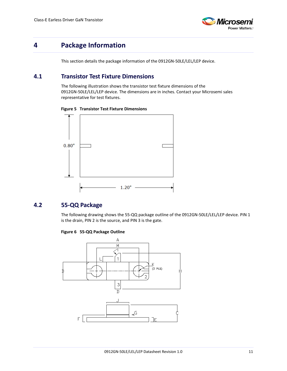

## <span id="page-10-0"></span>**4 Package Information**

This section details the package information of the 0912GN-50LE/LEL/LEP device.

### <span id="page-10-1"></span>**4.1 Transistor Test Fixture Dimensions**

The following illustration shows the transistor test fixture dimensions of the 0912GN-50LE/LEL/LEP device. The dimensions are in inches. Contact your Microsemi sales representative for test fixtures.

<span id="page-10-3"></span>**Figure 5 Transistor Test Fixture Dimensions**



## <span id="page-10-4"></span><span id="page-10-2"></span>**4.2 55-QQ Package**

The following drawing shows the 55-QQ package outline of the 0912GN-50LE/LEL/LEP device. PIN 1 is the drain, PIN 2 is the source, and PIN 3 is the gate.

#### **Figure 6 55-QQ Package Outline**

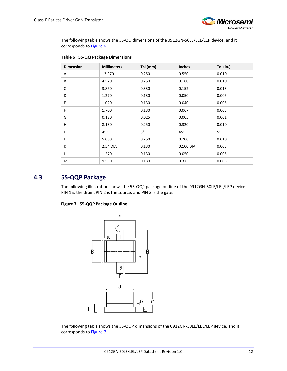

The following table shows the 55-QQ dimensions of the 0912GN-50LE/LEL/LEP device, and it corresponds to [Figure 6.](#page-10-4)

| <b>Dimension</b> | <b>Millimeters</b> | Tol (mm)    | Inches     | Tol (in.)   |
|------------------|--------------------|-------------|------------|-------------|
| A                | 13.970             | 0.250       | 0.550      | 0.010       |
| B                | 4.570              | 0.250       | 0.160      | 0.010       |
| C                | 3.860              | 0.330       | 0.152      | 0.013       |
| D                | 1.270              | 0.130       | 0.050      | 0.005       |
| E                | 1.020              | 0.130       | 0.040      | 0.005       |
| F                | 1.700              | 0.130       | 0.067      | 0.005       |
| G                | 0.130              | 0.025       | 0.005      | 0.001       |
| Н                | 8.130              | 0.250       | 0.320      | 0.010       |
|                  | $45^\circ$         | $5^{\circ}$ | $45^\circ$ | $5^{\circ}$ |
| J                | 5.080              | 0.250       | 0.200      | 0.010       |
| К                | 2.54 DIA           | 0.130       | 0.100 DIA  | 0.005       |
| L                | 1.270              | 0.130       | 0.050      | 0.005       |
| М                | 9.530              | 0.130       | 0.375      | 0.005       |

#### <span id="page-11-2"></span>**Table 6 55-QQ Package Dimensions**

### <span id="page-11-1"></span><span id="page-11-0"></span>**4.3 55-QQP Package**

The following illustration shows the 55-QQP package outline of the 0912GN-50LE/LEL/LEP device. PIN 1 is the drain, PIN 2 is the source, and PIN 3 is the gate.

#### **Figure 7 55-QQP Package Outline**



The following table shows the 55-QQP dimensions of the 0912GN-50LE/LEL/LEP device, and it corresponds to [Figure 7.](#page-11-1)